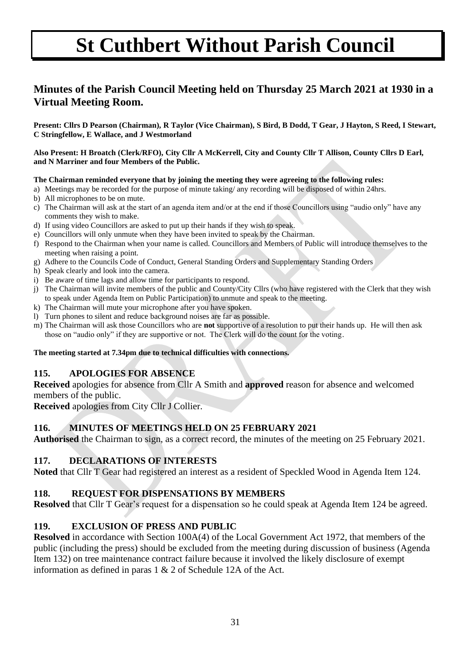## **Minutes of the Parish Council Meeting held on Thursday 25 March 2021 at 1930 in a Virtual Meeting Room.**

**Present: Cllrs D Pearson (Chairman), R Taylor (Vice Chairman), S Bird, B Dodd, T Gear, J Hayton, S Reed, I Stewart, C Stringfellow, E Wallace, and J Westmorland** 

**Also Present: H Broatch (Clerk/RFO), City Cllr A McKerrell, City and County Cllr T Allison, County Cllrs D Earl, and N Marriner and four Members of the Public.** 

#### **The Chairman reminded everyone that by joining the meeting they were agreeing to the following rules:**

- a) Meetings may be recorded for the purpose of minute taking/ any recording will be disposed of within 24hrs.
- b) All microphones to be on mute.
- c) The Chairman will ask at the start of an agenda item and/or at the end if those Councillors using "audio only" have any comments they wish to make.
- d) If using video Councillors are asked to put up their hands if they wish to speak.
- e) Councillors will only unmute when they have been invited to speak by the Chairman.
- f) Respond to the Chairman when your name is called. Councillors and Members of Public will introduce themselves to the meeting when raising a point.
- g) Adhere to the Councils Code of Conduct, General Standing Orders and Supplementary Standing Orders
- h) Speak clearly and look into the camera.
- i) Be aware of time lags and allow time for participants to respond.
- j) The Chairman will invite members of the public and County/City Cllrs (who have registered with the Clerk that they wish to speak under Agenda Item on Public Participation) to unmute and speak to the meeting.
- k) The Chairman will mute your microphone after you have spoken.
- l) Turn phones to silent and reduce background noises are far as possible.
- m) The Chairman will ask those Councillors who are **not** supportive of a resolution to put their hands up. He will then ask those on "audio only" if they are supportive or not. The Clerk will do the count for the voting.

#### **The meeting started at 7.34pm due to technical difficulties with connections.**

#### **115. APOLOGIES FOR ABSENCE**

**Received** apologies for absence from Cllr A Smith and **approved** reason for absence and welcomed members of the public.

**Received** apologies from City Cllr J Collier.

#### **116. MINUTES OF MEETINGS HELD ON 25 FEBRUARY 2021**

**Authorised** the Chairman to sign, as a correct record, the minutes of the meeting on 25 February 2021.

#### **117. DECLARATIONS OF INTERESTS**

**Noted** that Cllr T Gear had registered an interest as a resident of Speckled Wood in Agenda Item 124.

#### **118. REQUEST FOR DISPENSATIONS BY MEMBERS**

**Resolved** that Cllr T Gear's request for a dispensation so he could speak at Agenda Item 124 be agreed.

#### **119. EXCLUSION OF PRESS AND PUBLIC**

**Resolved** in accordance with Section 100A(4) of the Local Government Act 1972, that members of the public (including the press) should be excluded from the meeting during discussion of business (Agenda Item 132) on tree maintenance contract failure because it involved the likely disclosure of exempt information as defined in paras 1 & 2 of Schedule 12A of the Act.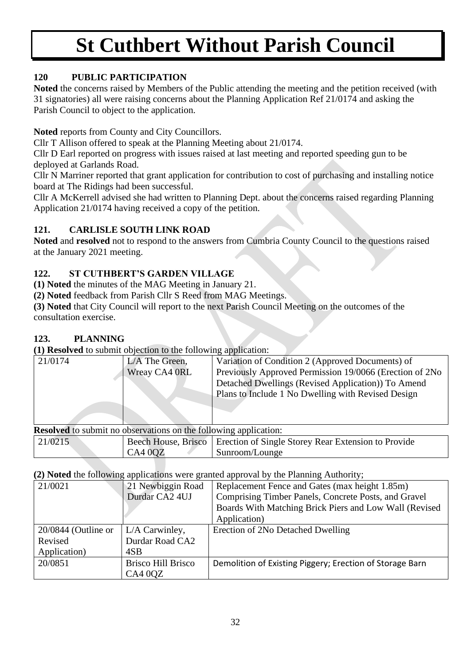### **120 PUBLIC PARTICIPATION**

**Noted** the concerns raised by Members of the Public attending the meeting and the petition received (with 31 signatories) all were raising concerns about the Planning Application Ref 21/0174 and asking the Parish Council to object to the application.

**Noted** reports from County and City Councillors.

Cllr T Allison offered to speak at the Planning Meeting about 21/0174.

Cllr D Earl reported on progress with issues raised at last meeting and reported speeding gun to be deployed at Garlands Road.

Cllr N Marriner reported that grant application for contribution to cost of purchasing and installing notice board at The Ridings had been successful.

Cllr A McKerrell advised she had written to Planning Dept. about the concerns raised regarding Planning Application 21/0174 having received a copy of the petition.

## **121. CARLISLE SOUTH LINK ROAD**

**Noted** and **resolved** not to respond to the answers from Cumbria County Council to the questions raised at the January 2021 meeting.

### **122. ST CUTHBERT'S GARDEN VILLAGE**

**(1) Noted** the minutes of the MAG Meeting in January 21.

**(2) Noted** feedback from Parish Cllr S Reed from MAG Meetings.

**(3) Noted** that City Council will report to the next Parish Council Meeting on the outcomes of the consultation exercise.

### **123. PLANNING**

**(1) Resolved** to submit objection to the following application:

| 21/0174                                                                 | L/A The Green,                 | Variation of Condition 2 (Approved Documents) of                                                                                                                                                                                                                                                                                                                                                                                                                                                                                                                                                                                                                                                  |  |  |  |  |
|-------------------------------------------------------------------------|--------------------------------|---------------------------------------------------------------------------------------------------------------------------------------------------------------------------------------------------------------------------------------------------------------------------------------------------------------------------------------------------------------------------------------------------------------------------------------------------------------------------------------------------------------------------------------------------------------------------------------------------------------------------------------------------------------------------------------------------|--|--|--|--|
|                                                                         | Wreay CA4 0RL                  | Previously Approved Permission 19/0066 (Erection of 2No                                                                                                                                                                                                                                                                                                                                                                                                                                                                                                                                                                                                                                           |  |  |  |  |
|                                                                         |                                | Detached Dwellings (Revised Application)) To Amend                                                                                                                                                                                                                                                                                                                                                                                                                                                                                                                                                                                                                                                |  |  |  |  |
|                                                                         |                                | Plans to Include 1 No Dwelling with Revised Design                                                                                                                                                                                                                                                                                                                                                                                                                                                                                                                                                                                                                                                |  |  |  |  |
|                                                                         |                                |                                                                                                                                                                                                                                                                                                                                                                                                                                                                                                                                                                                                                                                                                                   |  |  |  |  |
| <b>Resolved</b> to submit no observations on the following application: |                                |                                                                                                                                                                                                                                                                                                                                                                                                                                                                                                                                                                                                                                                                                                   |  |  |  |  |
| $21/021$ $\tau$                                                         | $\mathbf{r}$ .<br><sub>n</sub> | $\mathcal{C}$ $\mathcal{C}$ $\mathcal{C}$ $\mathcal{C}$ $\mathcal{C}$ $\mathcal{C}$ $\mathcal{C}$ $\mathcal{C}$ $\mathcal{C}$ $\mathcal{C}$ $\mathcal{C}$ $\mathcal{C}$ $\mathcal{C}$ $\mathcal{C}$ $\mathcal{C}$ $\mathcal{C}$ $\mathcal{C}$ $\mathcal{C}$ $\mathcal{C}$ $\mathcal{C}$ $\mathcal{C}$ $\mathcal{C}$ $\mathcal{C}$ $\mathcal{C}$ $\mathcal{$<br>$\mathbf{D}$ $\mathbf{E}$ $\mathbf{E}$ $\mathbf{E}$ $\mathbf{E}$ $\mathbf{E}$ $\mathbf{E}$ $\mathbf{E}$ $\mathbf{E}$ $\mathbf{E}$ $\mathbf{E}$ $\mathbf{E}$ $\mathbf{E}$ $\mathbf{E}$ $\mathbf{E}$ $\mathbf{E}$ $\mathbf{E}$ $\mathbf{E}$ $\mathbf{E}$ $\mathbf{E}$ $\mathbf{E}$ $\mathbf{E}$ $\mathbf{E}$ $\mathbf{E}$ $\mathbf{$ |  |  |  |  |

21/0215 Beech House, Brisco CA4 0QZ Erection of Single Storey Rear Extension to Provide Sunroom/Lounge

**(2) Noted** the following applications were granted approval by the Planning Authority;

| $\mathbf{w}$          |                           |                                                          |  |  |  |  |  |
|-----------------------|---------------------------|----------------------------------------------------------|--|--|--|--|--|
| 21/0021               | 21 Newbiggin Road         | Replacement Fence and Gates (max height 1.85m)           |  |  |  |  |  |
|                       | Durdar CA2 4UJ            | Comprising Timber Panels, Concrete Posts, and Gravel     |  |  |  |  |  |
|                       |                           | Boards With Matching Brick Piers and Low Wall (Revised   |  |  |  |  |  |
|                       |                           | Application)                                             |  |  |  |  |  |
| $20/0844$ (Outline or | L/A Carwinley,            | Erection of 2No Detached Dwelling                        |  |  |  |  |  |
| Revised               | Durdar Road CA2           |                                                          |  |  |  |  |  |
| Application)          | 4SB                       |                                                          |  |  |  |  |  |
| 20/0851               | <b>Brisco Hill Brisco</b> | Demolition of Existing Piggery; Erection of Storage Barn |  |  |  |  |  |
|                       | CA400Z                    |                                                          |  |  |  |  |  |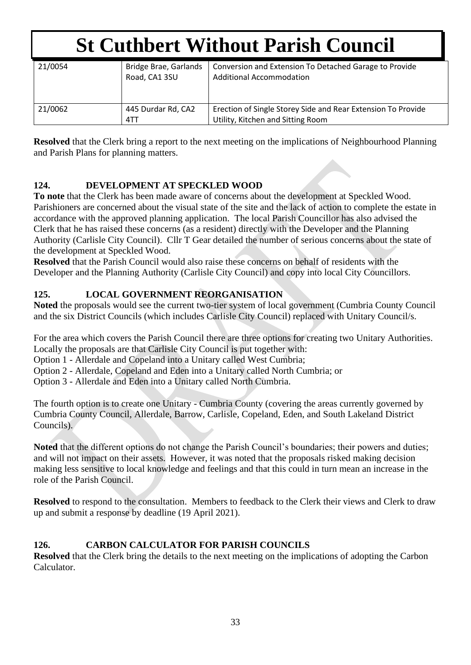| 21/0054 | Bridge Brae, Garlands<br>Road, CA1 3SU | Conversion and Extension To Detached Garage to Provide<br><b>Additional Accommodation</b>         |
|---------|----------------------------------------|---------------------------------------------------------------------------------------------------|
| 21/0062 | 445 Durdar Rd, CA2<br>4TT              | Erection of Single Storey Side and Rear Extension To Provide<br>Utility, Kitchen and Sitting Room |

**Resolved** that the Clerk bring a report to the next meeting on the implications of Neighbourhood Planning and Parish Plans for planning matters.

### **124. DEVELOPMENT AT SPECKLED WOOD**

**To note** that the Clerk has been made aware of concerns about the development at Speckled Wood. Parishioners are concerned about the visual state of the site and the lack of action to complete the estate in accordance with the approved planning application. The local Parish Councillor has also advised the Clerk that he has raised these concerns (as a resident) directly with the Developer and the Planning Authority (Carlisle City Council). Cllr T Gear detailed the number of serious concerns about the state of the development at Speckled Wood.

**Resolved** that the Parish Council would also raise these concerns on behalf of residents with the Developer and the Planning Authority (Carlisle City Council) and copy into local City Councillors.

#### **125. LOCAL GOVERNMENT REORGANISATION**

**Noted** the proposals would see the current two-tier system of local government (Cumbria County Council and the six District Councils (which includes Carlisle City Council) replaced with Unitary Council/s.

For the area which covers the Parish Council there are three options for creating two Unitary Authorities. Locally the proposals are that Carlisle City Council is put together with:

Option 1 - Allerdale and Copeland into a Unitary called West Cumbria;

Option 2 - Allerdale, Copeland and Eden into a Unitary called North Cumbria; or

Option 3 - Allerdale and Eden into a Unitary called North Cumbria.

The fourth option is to create one Unitary - Cumbria County (covering the areas currently governed by Cumbria County Council, Allerdale, Barrow, Carlisle, Copeland, Eden, and South Lakeland District Councils).

**Noted** that the different options do not change the Parish Council's boundaries; their powers and duties; and will not impact on their assets. However, it was noted that the proposals risked making decision making less sensitive to local knowledge and feelings and that this could in turn mean an increase in the role of the Parish Council.

**Resolved** to respond to the consultation. Members to feedback to the Clerk their views and Clerk to draw up and submit a response by deadline (19 April 2021).

#### **126. CARBON CALCULATOR FOR PARISH COUNCILS**

**Resolved** that the Clerk bring the details to the next meeting on the implications of adopting the Carbon Calculator.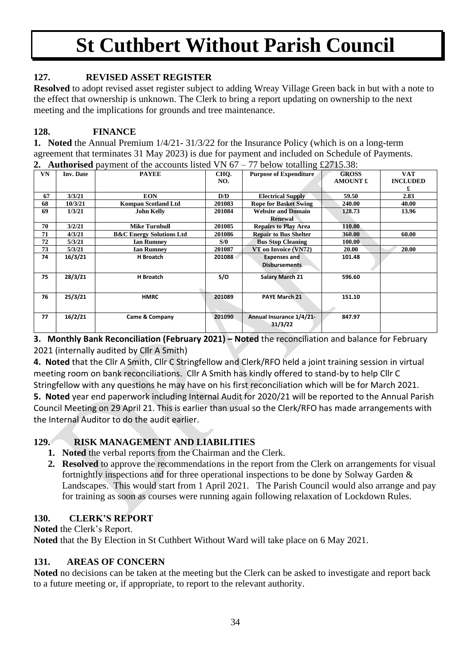### **127. REVISED ASSET REGISTER**

**Resolved** to adopt revised asset register subject to adding Wreay Village Green back in but with a note to the effect that ownership is unknown. The Clerk to bring a report updating on ownership to the next meeting and the implications for grounds and tree maintenance.

#### **128. FINANCE**

**1. Noted** the Annual Premium 1/4/21- 31/3/22 for the Insurance Policy (which is on a long-term agreement that terminates 31 May 2023) is due for payment and included on Schedule of Payments. **2. Authorised** payment of the accounts listed VN 67 – 77 below totalling £2715.38:

| VN | <b>Inv. Date</b> | <b>PAYEE</b>                        | CHO.   | <b>Purpose of Expenditure</b> | <b>GROSS</b>    | <b>VAT</b>      |
|----|------------------|-------------------------------------|--------|-------------------------------|-----------------|-----------------|
|    |                  |                                     |        |                               |                 |                 |
|    |                  |                                     | NO.    |                               | <b>AMOUNT £</b> | <b>INCLUDED</b> |
|    |                  |                                     |        |                               |                 | £               |
| 67 | 3/3/21           | <b>EON</b>                          | D/D    | <b>Electrical Supply</b>      | 59.50           | 2.83            |
| 68 | 10/3/21          | <b>Kompan Scotland Ltd</b>          | 201083 | <b>Rope for Basket Swing</b>  | 240.00          | 40.00           |
| 69 | 1/3/21           | <b>John Kelly</b>                   | 201084 | <b>Website and Domain</b>     | 128.73          | 13.96           |
|    |                  |                                     |        | <b>Renewal</b>                |                 |                 |
| 70 | 3/2/21           | <b>Mike Turnbull</b>                | 201085 | <b>Repairs to Play Area</b>   | 110.00          |                 |
| 71 | 4/3/21           | <b>B&amp;C Energy Solutions Ltd</b> | 201086 | <b>Repair to Bus Shelter</b>  | 360.00          | 60.00           |
| 72 | 5/3/21           | <b>Ian Rumney</b>                   | S/0    | <b>Bus Stop Cleaning</b>      | 100.00          |                 |
| 73 | 5/3/21           | <b>Ian Rumney</b>                   | 201087 | VT on Invoice (VN72)          | <b>20.00</b>    | 20.00           |
| 74 | 16/3/21          | H Broatch                           | 201088 | <b>Expenses and</b>           | 101.48          |                 |
|    |                  |                                     |        | <b>Disbursements</b>          |                 |                 |
|    |                  |                                     |        |                               |                 |                 |
| 75 | 28/3/21          | H Broatch                           | S/O    | <b>Salary March 21</b>        | 596.60          |                 |
|    |                  |                                     |        |                               |                 |                 |
|    |                  |                                     |        |                               |                 |                 |
| 76 | 25/3/21          | <b>HMRC</b>                         | 201089 | <b>PAYE March 21</b>          | 151.10          |                 |
|    |                  |                                     |        |                               |                 |                 |
|    |                  |                                     |        |                               |                 |                 |
| 77 | 16/2/21          | <b>Came &amp; Company</b>           | 201090 | Annual Insurance 1/4/21-      | 847.97          |                 |
|    |                  |                                     |        | 31/3/22                       |                 |                 |
|    |                  |                                     |        |                               |                 |                 |

**3. Monthly Bank Reconciliation (February 2021) – Noted** the reconciliation and balance for February 2021 (internally audited by Cllr A Smith)

**4. Noted** that the Cllr A Smith, Cllr C Stringfellow and Clerk/RFO held a joint training session in virtual meeting room on bank reconciliations. Cllr A Smith has kindly offered to stand-by to help Cllr C Stringfellow with any questions he may have on his first reconciliation which will be for March 2021.

**5. Noted** year end paperwork including Internal Audit for 2020/21 will be reported to the Annual Parish Council Meeting on 29 April 21. This is earlier than usual so the Clerk/RFO has made arrangements with the Internal Auditor to do the audit earlier.

### **129. RISK MANAGEMENT AND LIABILITIES**

- **1. Noted** the verbal reports from the Chairman and the Clerk.
- **2. Resolved** to approve the recommendations in the report from the Clerk on arrangements for visual fortnightly inspections and for three operational inspections to be done by Solway Garden & Landscapes. This would start from 1 April 2021. The Parish Council would also arrange and pay for training as soon as courses were running again following relaxation of Lockdown Rules.

#### **130. CLERK'S REPORT**

**Noted** the Clerk's Report. **Noted** that the By Election in St Cuthbert Without Ward will take place on 6 May 2021.

#### **131. AREAS OF CONCERN**

**Noted** no decisions can be taken at the meeting but the Clerk can be asked to investigate and report back to a future meeting or, if appropriate, to report to the relevant authority.